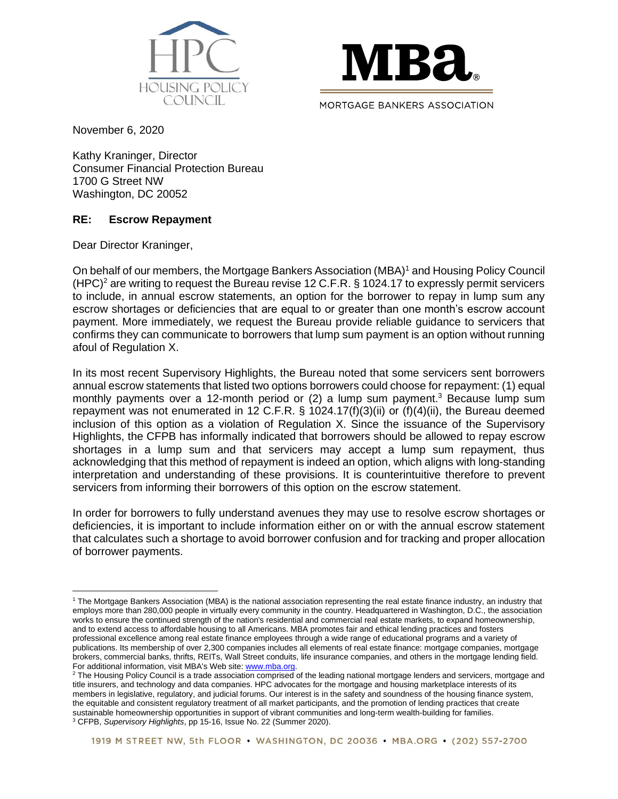



November 6, 2020

Kathy Kraninger, Director Consumer Financial Protection Bureau 1700 G Street NW Washington, DC 20052

# **RE: Escrow Repayment**

Dear Director Kraninger,

On behalf of our members, the Mortgage Bankers Association (MBA)<sup>1</sup> and Housing Policy Council (HPC)<sup>2</sup> are writing to request the Bureau revise 12 C.F.R.  $\S$  1024.17 to expressly permit servicers to include, in annual escrow statements, an option for the borrower to repay in lump sum any escrow shortages or deficiencies that are equal to or greater than one month's escrow account payment. More immediately, we request the Bureau provide reliable guidance to servicers that confirms they can communicate to borrowers that lump sum payment is an option without running afoul of Regulation X.

In its most recent Supervisory Highlights, the Bureau noted that some servicers sent borrowers annual escrow statements that listed two options borrowers could choose for repayment: (1) equal monthly payments over a 12-month period or (2) a lump sum payment. <sup>3</sup> Because lump sum repayment was not enumerated in 12 C.F.R. § 1024.17(f)(3)(ii) or (f)(4)(ii), the Bureau deemed inclusion of this option as a violation of Regulation X. Since the issuance of the Supervisory Highlights, the CFPB has informally indicated that borrowers should be allowed to repay escrow shortages in a lump sum and that servicers may accept a lump sum repayment, thus acknowledging that this method of repayment is indeed an option, which aligns with long-standing interpretation and understanding of these provisions. It is counterintuitive therefore to prevent servicers from informing their borrowers of this option on the escrow statement.

In order for borrowers to fully understand avenues they may use to resolve escrow shortages or deficiencies, it is important to include information either on or with the annual escrow statement that calculates such a shortage to avoid borrower confusion and for tracking and proper allocation of borrower payments.

<sup>1</sup> The Mortgage Bankers Association (MBA) is the national association representing the real estate finance industry, an industry that employs more than 280,000 people in virtually every community in the country. Headquartered in Washington, D.C., the association works to ensure the continued strength of the nation's residential and commercial real estate markets, to expand homeownership, and to extend access to affordable housing to all Americans. MBA promotes fair and ethical lending practices and fosters professional excellence among real estate finance employees through a wide range of educational programs and a variety of publications. Its membership of over 2,300 companies includes all elements of real estate finance: mortgage companies, mortgage brokers, commercial banks, thrifts, REITs, Wall Street conduits, life insurance companies, and others in the mortgage lending field. For additional information, visit MBA's Web site[: www.mba.org.](http://www.mba.org/)

<sup>&</sup>lt;sup>2</sup> The Housing Policy Council is a trade association comprised of the leading national mortgage lenders and servicers, mortgage and title insurers, and technology and data companies. HPC advocates for the mortgage and housing marketplace interests of its members in legislative, regulatory, and judicial forums. Our interest is in the safety and soundness of the housing finance system, the equitable and consistent regulatory treatment of all market participants, and the promotion of lending practices that create sustainable homeownership opportunities in support of vibrant communities and long-term wealth-building for families. <sup>3</sup> CFPB, *Supervisory Highlights*, pp 15-16, Issue No. 22 (Summer 2020).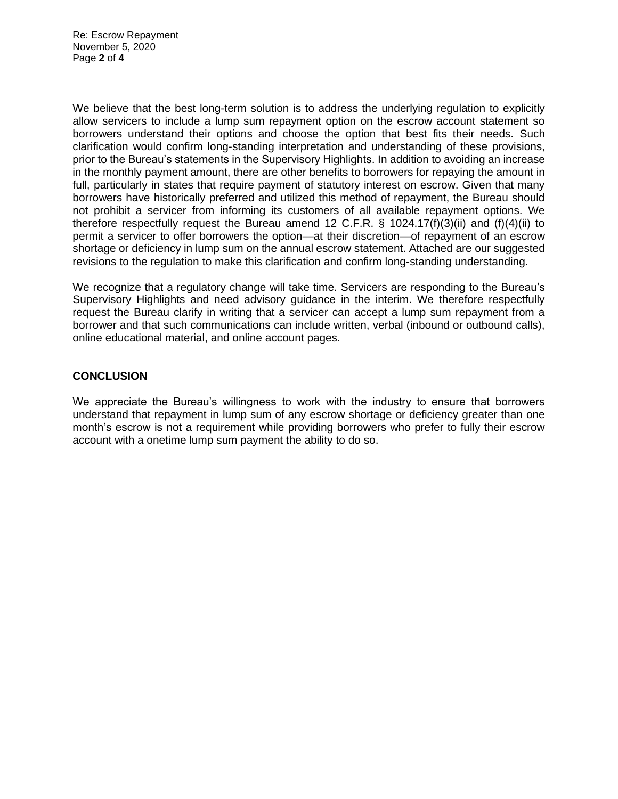Re: Escrow Repayment November 5, 2020 Page **2** of **4**

We believe that the best long-term solution is to address the underlying regulation to explicitly allow servicers to include a lump sum repayment option on the escrow account statement so borrowers understand their options and choose the option that best fits their needs. Such clarification would confirm long-standing interpretation and understanding of these provisions, prior to the Bureau's statements in the Supervisory Highlights. In addition to avoiding an increase in the monthly payment amount, there are other benefits to borrowers for repaying the amount in full, particularly in states that require payment of statutory interest on escrow. Given that many borrowers have historically preferred and utilized this method of repayment, the Bureau should not prohibit a servicer from informing its customers of all available repayment options. We therefore respectfully request the Bureau amend 12 C.F.R.  $\S$  1024.17(f)(3)(ii) and (f)(4)(ii) to permit a servicer to offer borrowers the option—at their discretion—of repayment of an escrow shortage or deficiency in lump sum on the annual escrow statement. Attached are our suggested revisions to the regulation to make this clarification and confirm long-standing understanding.

We recognize that a regulatory change will take time. Servicers are responding to the Bureau's Supervisory Highlights and need advisory guidance in the interim. We therefore respectfully request the Bureau clarify in writing that a servicer can accept a lump sum repayment from a borrower and that such communications can include written, verbal (inbound or outbound calls), online educational material, and online account pages.

## **CONCLUSION**

We appreciate the Bureau's willingness to work with the industry to ensure that borrowers understand that repayment in lump sum of any escrow shortage or deficiency greater than one month's escrow is not a requirement while providing borrowers who prefer to fully their escrow account with a onetime lump sum payment the ability to do so.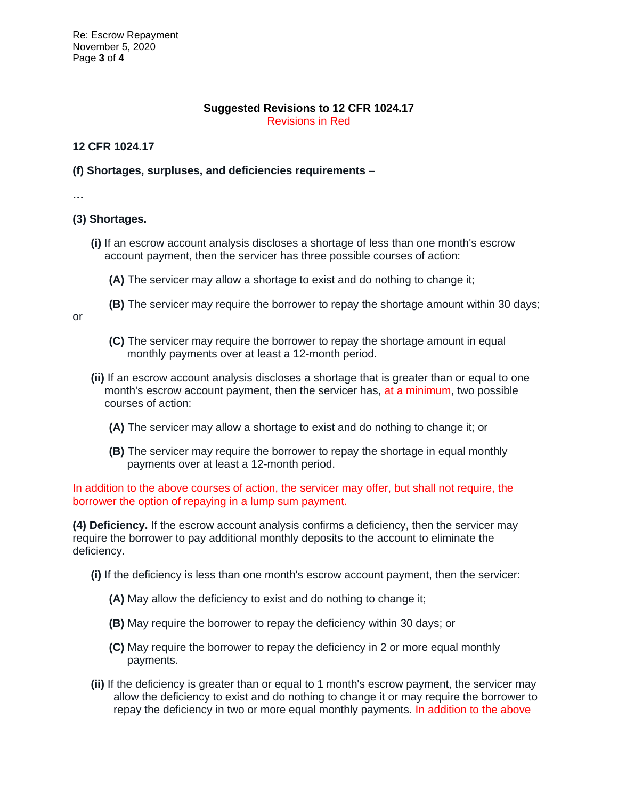Re: Escrow Repayment November 5, 2020 Page **3** of **4**

#### **Suggested Revisions to 12 CFR 1024.17** Revisions in Red

## **12 CFR 1024.17**

#### **(f) Shortages, surpluses, and deficiencies requirements** –

**…**

## **(3) Shortages.**

- **(i)** If an escrow account analysis discloses a shortage of less than one month's escrow account payment, then the servicer has three possible courses of action:
	- **(A)** The servicer may allow a shortage to exist and do nothing to change it;
	- **(B)** The servicer may require the borrower to repay the shortage amount within 30 days;

or

- **(C)** The servicer may require the borrower to repay the shortage amount in equal monthly payments over at least a 12-month period.
- **(ii)** If an escrow account analysis discloses a shortage that is greater than or equal to one month's escrow account payment, then the servicer has, at a minimum, two possible courses of action:
	- **(A)** The servicer may allow a shortage to exist and do nothing to change it; or
	- **(B)** The servicer may require the borrower to repay the shortage in equal monthly payments over at least a 12-month period.

In addition to the above courses of action, the servicer may offer, but shall not require, the borrower the option of repaying in a lump sum payment.

**(4) Deficiency.** If the escrow account analysis confirms a deficiency, then the servicer may require the borrower to pay additional monthly deposits to the account to eliminate the deficiency.

- **(i)** If the deficiency is less than one month's escrow account payment, then the servicer:
	- **(A)** May allow the deficiency to exist and do nothing to change it;
	- **(B)** May require the borrower to repay the deficiency within 30 days; or
	- **(C)** May require the borrower to repay the deficiency in 2 or more equal monthly payments.
- **(ii)** If the deficiency is greater than or equal to 1 month's escrow payment, the servicer may allow the deficiency to exist and do nothing to change it or may require the borrower to repay the deficiency in two or more equal monthly payments. In addition to the above